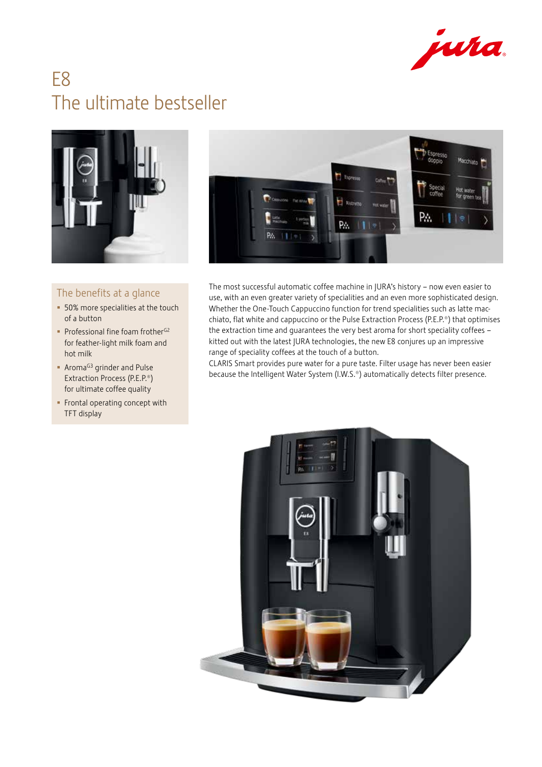

# E8 The ultimate bestseller



## The benefits at a glance

- 50% more specialities at the touch of a button
- Professional fine foam frother $G^2$ for feather-light milk foam and hot milk
- **Aroma<sup>G3</sup>** grinder and Pulse Extraction Process (P.E.P.®) for ultimate coffee quality
- **Frontal operating concept with** TFT display



The most successful automatic coffee machine in JURA's history – now even easier to use, with an even greater variety of specialities and an even more sophisticated design. Whether the One-Touch Cappuccino function for trend specialities such as latte macchiato, flat white and cappuccino or the Pulse Extraction Process (P.E.P.®) that optimises the extraction time and guarantees the very best aroma for short speciality coffees – kitted out with the latest JURA technologies, the new E8 conjures up an impressive range of speciality coffees at the touch of a button.

CLARIS Smart provides pure water for a pure taste. Filter usage has never been easier because the Intelligent Water System (I.W.S.®) automatically detects filter presence.